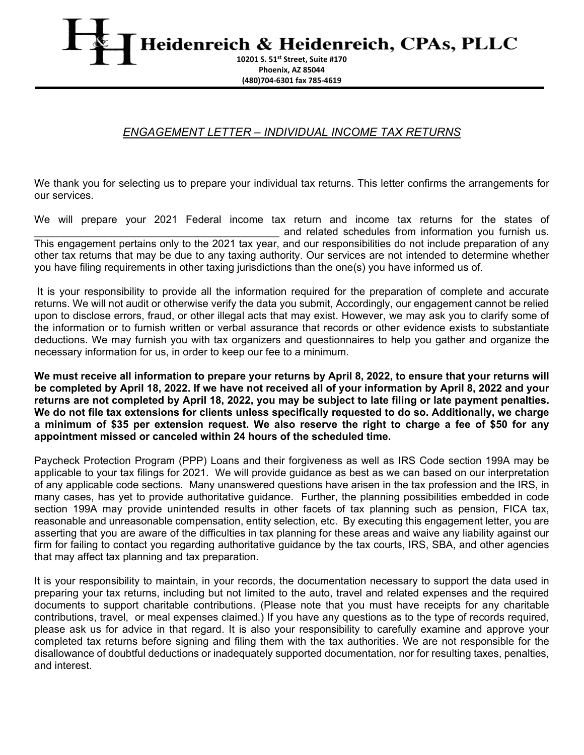Heidenreich & Heidenreich, CPAs, PLLC

**10201 S. 51st Street, Suite #170 Phoenix, AZ 85044 (480)704‐6301 fax 785‐4619**

## *ENGAGEMENT LETTER – INDIVIDUAL INCOME TAX RETURNS*

We thank you for selecting us to prepare your individual tax returns. This letter confirms the arrangements for our services.

We will prepare your 2021 Federal income tax return and income tax returns for the states of and related schedules from information you furnish us. This engagement pertains only to the 2021 tax year, and our responsibilities do not include preparation of any other tax returns that may be due to any taxing authority. Our services are not intended to determine whether you have filing requirements in other taxing jurisdictions than the one(s) you have informed us of.

 It is your responsibility to provide all the information required for the preparation of complete and accurate returns. We will not audit or otherwise verify the data you submit, Accordingly, our engagement cannot be relied upon to disclose errors, fraud, or other illegal acts that may exist. However, we may ask you to clarify some of the information or to furnish written or verbal assurance that records or other evidence exists to substantiate deductions. We may furnish you with tax organizers and questionnaires to help you gather and organize the necessary information for us, in order to keep our fee to a minimum.

**We must receive all information to prepare your returns by April 8, 2022, to ensure that your returns will be completed by April 18, 2022. If we have not received all of your information by April 8, 2022 and your returns are not completed by April 18, 2022, you may be subject to late filing or late payment penalties. We do not file tax extensions for clients unless specifically requested to do so. Additionally, we charge a minimum of \$35 per extension request. We also reserve the right to charge a fee of \$50 for any appointment missed or canceled within 24 hours of the scheduled time.** 

Paycheck Protection Program (PPP) Loans and their forgiveness as well as IRS Code section 199A may be applicable to your tax filings for 2021. We will provide guidance as best as we can based on our interpretation of any applicable code sections. Many unanswered questions have arisen in the tax profession and the IRS, in many cases, has yet to provide authoritative guidance. Further, the planning possibilities embedded in code section 199A may provide unintended results in other facets of tax planning such as pension, FICA tax, reasonable and unreasonable compensation, entity selection, etc. By executing this engagement letter, you are asserting that you are aware of the difficulties in tax planning for these areas and waive any liability against our firm for failing to contact you regarding authoritative guidance by the tax courts, IRS, SBA, and other agencies that may affect tax planning and tax preparation.

It is your responsibility to maintain, in your records, the documentation necessary to support the data used in preparing your tax returns, including but not limited to the auto, travel and related expenses and the required documents to support charitable contributions. (Please note that you must have receipts for any charitable contributions, travel, or meal expenses claimed.) If you have any questions as to the type of records required, please ask us for advice in that regard. It is also your responsibility to carefully examine and approve your completed tax returns before signing and filing them with the tax authorities. We are not responsible for the disallowance of doubtful deductions or inadequately supported documentation, nor for resulting taxes, penalties, and interest.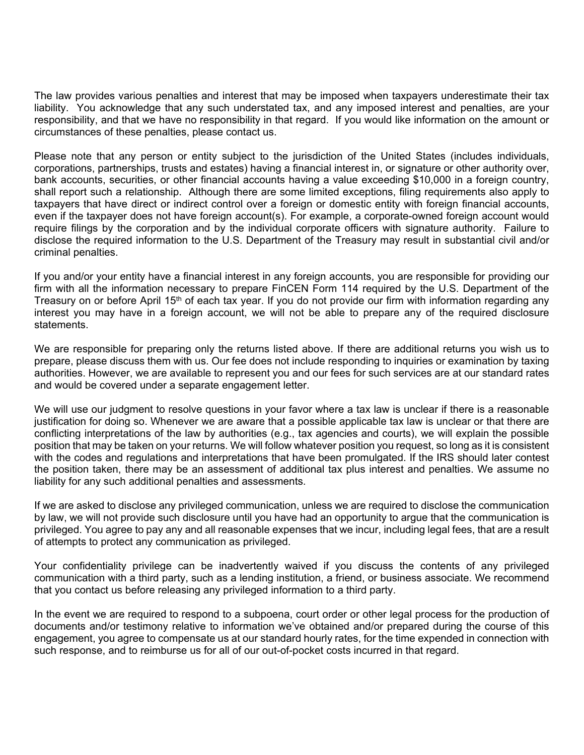The law provides various penalties and interest that may be imposed when taxpayers underestimate their tax liability. You acknowledge that any such understated tax, and any imposed interest and penalties, are your responsibility, and that we have no responsibility in that regard. If you would like information on the amount or circumstances of these penalties, please contact us.

Please note that any person or entity subject to the jurisdiction of the United States (includes individuals, corporations, partnerships, trusts and estates) having a financial interest in, or signature or other authority over, bank accounts, securities, or other financial accounts having a value exceeding \$10,000 in a foreign country, shall report such a relationship. Although there are some limited exceptions, filing requirements also apply to taxpayers that have direct or indirect control over a foreign or domestic entity with foreign financial accounts, even if the taxpayer does not have foreign account(s). For example, a corporate-owned foreign account would require filings by the corporation and by the individual corporate officers with signature authority. Failure to disclose the required information to the U.S. Department of the Treasury may result in substantial civil and/or criminal penalties.

If you and/or your entity have a financial interest in any foreign accounts, you are responsible for providing our firm with all the information necessary to prepare FinCEN Form 114 required by the U.S. Department of the Treasury on or before April 15<sup>th</sup> of each tax year. If you do not provide our firm with information regarding any interest you may have in a foreign account, we will not be able to prepare any of the required disclosure statements.

We are responsible for preparing only the returns listed above. If there are additional returns you wish us to prepare, please discuss them with us. Our fee does not include responding to inquiries or examination by taxing authorities. However, we are available to represent you and our fees for such services are at our standard rates and would be covered under a separate engagement letter.

We will use our judgment to resolve questions in your favor where a tax law is unclear if there is a reasonable justification for doing so. Whenever we are aware that a possible applicable tax law is unclear or that there are conflicting interpretations of the law by authorities (e.g., tax agencies and courts), we will explain the possible position that may be taken on your returns. We will follow whatever position you request, so long as it is consistent with the codes and regulations and interpretations that have been promulgated. If the IRS should later contest the position taken, there may be an assessment of additional tax plus interest and penalties. We assume no liability for any such additional penalties and assessments.

If we are asked to disclose any privileged communication, unless we are required to disclose the communication by law, we will not provide such disclosure until you have had an opportunity to argue that the communication is privileged. You agree to pay any and all reasonable expenses that we incur, including legal fees, that are a result of attempts to protect any communication as privileged.

Your confidentiality privilege can be inadvertently waived if you discuss the contents of any privileged communication with a third party, such as a lending institution, a friend, or business associate. We recommend that you contact us before releasing any privileged information to a third party.

In the event we are required to respond to a subpoena, court order or other legal process for the production of documents and/or testimony relative to information we've obtained and/or prepared during the course of this engagement, you agree to compensate us at our standard hourly rates, for the time expended in connection with such response, and to reimburse us for all of our out-of-pocket costs incurred in that regard.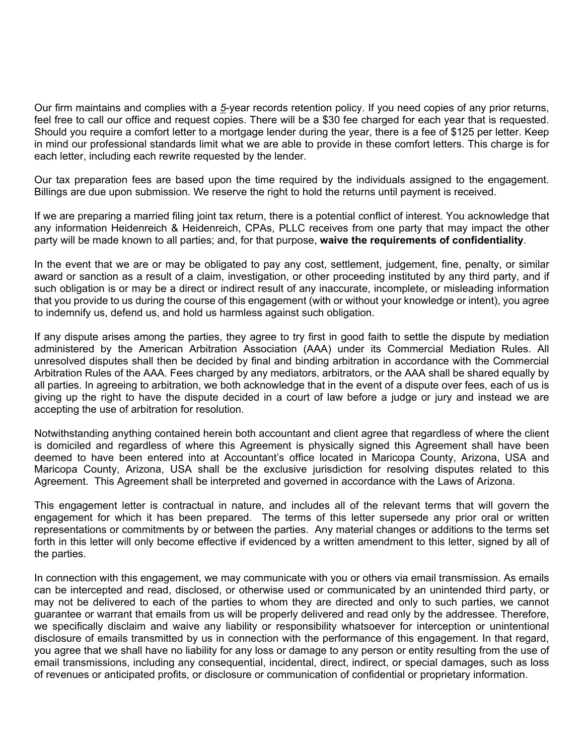Our firm maintains and complies with a *5*-year records retention policy. If you need copies of any prior returns, feel free to call our office and request copies. There will be a \$30 fee charged for each year that is requested. Should you require a comfort letter to a mortgage lender during the year, there is a fee of \$125 per letter. Keep in mind our professional standards limit what we are able to provide in these comfort letters. This charge is for each letter, including each rewrite requested by the lender.

Our tax preparation fees are based upon the time required by the individuals assigned to the engagement. Billings are due upon submission. We reserve the right to hold the returns until payment is received.

If we are preparing a married filing joint tax return, there is a potential conflict of interest. You acknowledge that any information Heidenreich & Heidenreich, CPAs, PLLC receives from one party that may impact the other party will be made known to all parties; and, for that purpose, **waive the requirements of confidentiality**.

In the event that we are or may be obligated to pay any cost, settlement, judgement, fine, penalty, or similar award or sanction as a result of a claim, investigation, or other proceeding instituted by any third party, and if such obligation is or may be a direct or indirect result of any inaccurate, incomplete, or misleading information that you provide to us during the course of this engagement (with or without your knowledge or intent), you agree to indemnify us, defend us, and hold us harmless against such obligation.

If any dispute arises among the parties, they agree to try first in good faith to settle the dispute by mediation administered by the American Arbitration Association (AAA) under its Commercial Mediation Rules. All unresolved disputes shall then be decided by final and binding arbitration in accordance with the Commercial Arbitration Rules of the AAA. Fees charged by any mediators, arbitrators, or the AAA shall be shared equally by all parties. In agreeing to arbitration, we both acknowledge that in the event of a dispute over fees, each of us is giving up the right to have the dispute decided in a court of law before a judge or jury and instead we are accepting the use of arbitration for resolution.

Notwithstanding anything contained herein both accountant and client agree that regardless of where the client is domiciled and regardless of where this Agreement is physically signed this Agreement shall have been deemed to have been entered into at Accountant's office located in Maricopa County, Arizona, USA and Maricopa County, Arizona, USA shall be the exclusive jurisdiction for resolving disputes related to this Agreement. This Agreement shall be interpreted and governed in accordance with the Laws of Arizona.

This engagement letter is contractual in nature, and includes all of the relevant terms that will govern the engagement for which it has been prepared. The terms of this letter supersede any prior oral or written representations or commitments by or between the parties. Any material changes or additions to the terms set forth in this letter will only become effective if evidenced by a written amendment to this letter, signed by all of the parties.

In connection with this engagement, we may communicate with you or others via email transmission. As emails can be intercepted and read, disclosed, or otherwise used or communicated by an unintended third party, or may not be delivered to each of the parties to whom they are directed and only to such parties, we cannot guarantee or warrant that emails from us will be properly delivered and read only by the addressee. Therefore, we specifically disclaim and waive any liability or responsibility whatsoever for interception or unintentional disclosure of emails transmitted by us in connection with the performance of this engagement. In that regard, you agree that we shall have no liability for any loss or damage to any person or entity resulting from the use of email transmissions, including any consequential, incidental, direct, indirect, or special damages, such as loss of revenues or anticipated profits, or disclosure or communication of confidential or proprietary information.